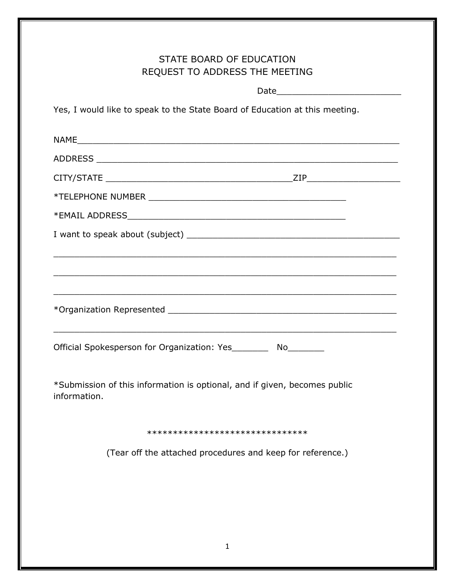| STATE BOARD OF EDUCATION<br>REQUEST TO ADDRESS THE MEETING                                                           |  |
|----------------------------------------------------------------------------------------------------------------------|--|
|                                                                                                                      |  |
| Yes, I would like to speak to the State Board of Education at this meeting.                                          |  |
|                                                                                                                      |  |
|                                                                                                                      |  |
|                                                                                                                      |  |
|                                                                                                                      |  |
|                                                                                                                      |  |
|                                                                                                                      |  |
| <u> 1990 - Jan James James James James James James James James James James James James James James James James J</u> |  |
| <u> 1990 - Johann Barn, amerikan bernama pendang pada 1990 - Para Barn, anggotan bernama pada 1990 - Para Barn</u>   |  |
|                                                                                                                      |  |
|                                                                                                                      |  |
|                                                                                                                      |  |
| Official Spokesperson for Organization: Yes__________ No_________                                                    |  |
|                                                                                                                      |  |
| *Submission of this information is optional, and if given, becomes public<br>information.                            |  |
|                                                                                                                      |  |
| *******************************                                                                                      |  |
| (Tear off the attached procedures and keep for reference.)                                                           |  |
|                                                                                                                      |  |
|                                                                                                                      |  |
|                                                                                                                      |  |
|                                                                                                                      |  |

1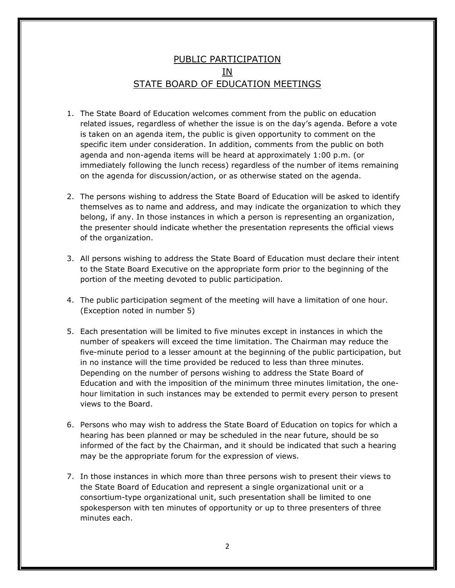## PUBLIC PARTICIPATION <u>IN</u> STATE BOARD OF EDUCATION MEETINGS

- 1. The State Board of Education welcomes comment from the public on education related issues, regardless of whether the issue is on the day's agenda. Before a vote is taken on an agenda item, the public is given opportunity to comment on the specific item under consideration. In addition, comments from the public on both agenda and non-agenda items will be heard at approximately 1:00 p.m. (or immediately following the lunch recess) regardless of the number of items remaining on the agenda for discussion/action, or as otherwise stated on the agenda.
- 2. The persons wishing to address the State Board of Education will be asked to identify themselves as to name and address, and may indicate the organization to which they belong, if any. In those instances in which a person is representing an organization, the presenter should indicate whether the presentation represents the official views of the organization.
- 3. All persons wishing to address the State Board of Education must declare their intent to the State Board Executive on the appropriate form prior to the beginning of the portion of the meeting devoted to public participation.
- 4. The public participation segment of the meeting will have a limitation of one hour. (Exception noted in number 5)
- 5. Each presentation will be limited to five minutes except in instances in which the number of speakers will exceed the time limitation. The Chairman may reduce the five-minute period to a lesser amount at the beginning of the public participation, but in no instance will the time provided be reduced to less than three minutes. Depending on the number of persons wishing to address the State Board of Education and with the imposition of the minimum three minutes limitation, the onehour limitation in such instances may be extended to permit every person to present views to the Board.
- 6. Persons who may wish to address the State Board of Education on topics for which a hearing has been planned or may be scheduled in the near future, should be so informed of the fact by the Chairman, and it should be indicated that such a hearing may be the appropriate forum for the expression of views.
- 7. In those instances in which more than three persons wish to present their views to the State Board of Education and represent a single organizational unit or a consortium-type organizational unit, such presentation shall be limited to one spokesperson with ten minutes of opportunity or up to three presenters of three minutes each.